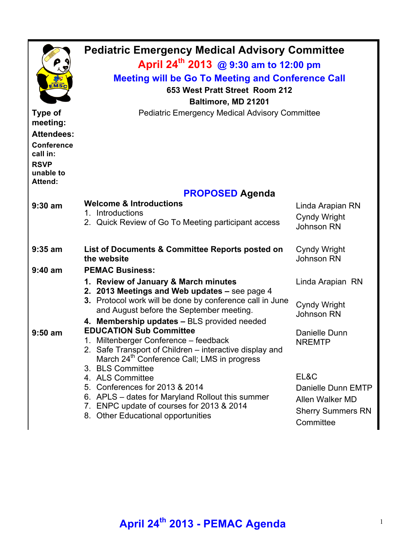| EMSC                                                                                                                           | <b>Pediatric Emergency Medical Advisory Committee</b><br>April 24 <sup>th</sup> 2013 @ 9:30 am to 12:00 pm<br><b>Meeting will be Go To Meeting and Conference Call</b><br>653 West Pratt Street Room 212<br>Baltimore, MD 21201                                                                                                                                                                                |                                                              |  |  |  |
|--------------------------------------------------------------------------------------------------------------------------------|----------------------------------------------------------------------------------------------------------------------------------------------------------------------------------------------------------------------------------------------------------------------------------------------------------------------------------------------------------------------------------------------------------------|--------------------------------------------------------------|--|--|--|
| <b>Type of</b><br>meeting:<br><b>Attendees:</b><br><b>Conference</b><br>call in:<br><b>RSVP</b><br>unable to<br><b>Attend:</b> | <b>Pediatric Emergency Medical Advisory Committee</b>                                                                                                                                                                                                                                                                                                                                                          |                                                              |  |  |  |
|                                                                                                                                | <b>PROPOSED Agenda</b>                                                                                                                                                                                                                                                                                                                                                                                         |                                                              |  |  |  |
| $9:30$ am                                                                                                                      | <b>Welcome &amp; Introductions</b><br>1. Introductions<br>2. Quick Review of Go To Meeting participant access                                                                                                                                                                                                                                                                                                  | Linda Arapian RN<br><b>Cyndy Wright</b><br>Johnson RN        |  |  |  |
| $9:35$ am<br>$9:40$ am                                                                                                         | List of Documents & Committee Reports posted on<br>the website<br><b>PEMAC Business:</b>                                                                                                                                                                                                                                                                                                                       | <b>Cyndy Wright</b><br>Johnson RN                            |  |  |  |
|                                                                                                                                | 1. Review of January & March minutes<br>2. 2013 Meetings and Web updates - see page 4<br>3. Protocol work will be done by conference call in June<br>and August before the September meeting.<br>4. Membership updates - BLS provided needed                                                                                                                                                                   | Linda Arapian RN<br><b>Cyndy Wright</b><br>Johnson RN        |  |  |  |
| $9:50$ am                                                                                                                      | <b>EDUCATION Sub Committee</b><br>1. Miltenberger Conference - feedback<br>2. Safe Transport of Children – interactive display and<br>March 24 <sup>th</sup> Conference Call; LMS in progress<br>3. BLS Committee<br>4. ALS Committee<br>5. Conferences for 2013 & 2014<br>6. APLS – dates for Maryland Rollout this summer<br>7. ENPC update of courses for 2013 & 2014<br>8. Other Educational opportunities | Danielle Dunn<br><b>NREMTP</b><br>EL&C<br>Danielle Dunn EMTP |  |  |  |
|                                                                                                                                |                                                                                                                                                                                                                                                                                                                                                                                                                | Allen Walker MD<br><b>Sherry Summers RN</b><br>Committee     |  |  |  |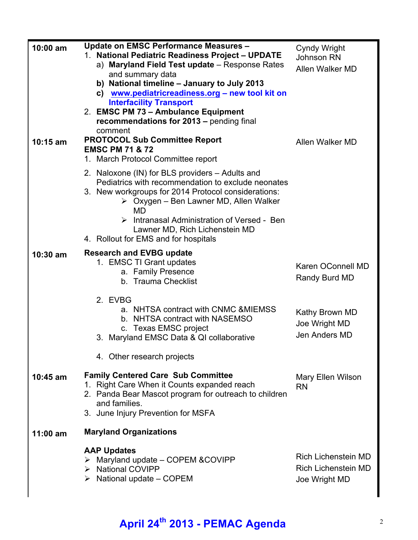| 10:00 am   | <b>Update on EMSC Performance Measures -</b><br>1. National Pediatric Readiness Project - UPDATE<br>a) Maryland Field Test update - Response Rates<br>and summary data<br>b) National timeline - January to July 2013<br>c) www.pediatricreadiness.org - new tool kit on<br><b>Interfacility Transport</b><br>2. EMSC PM 73 - Ambulance Equipment<br>recommendations for 2013 - pending final<br>comment | Cyndy Wright<br><b>Johnson RN</b><br>Allen Walker MD                      |
|------------|----------------------------------------------------------------------------------------------------------------------------------------------------------------------------------------------------------------------------------------------------------------------------------------------------------------------------------------------------------------------------------------------------------|---------------------------------------------------------------------------|
| $10:15$ am | <b>PROTOCOL Sub Committee Report</b><br><b>EMSC PM 71 &amp; 72</b><br>1. March Protocol Committee report                                                                                                                                                                                                                                                                                                 | Allen Walker MD                                                           |
|            | 2. Naloxone (IN) for BLS providers – Adults and<br>Pediatrics with recommendation to exclude neonates<br>3. New workgroups for 2014 Protocol considerations:<br>$\triangleright$ Oxygen – Ben Lawner MD, Allen Walker<br>MD<br>$\triangleright$ Intranasal Administration of Versed - Ben<br>Lawner MD, Rich Lichenstein MD<br>4. Rollout for EMS and for hospitals                                      |                                                                           |
| $10:30$ am | <b>Research and EVBG update</b><br>1. EMSC TI Grant updates<br>a. Family Presence<br>b. Trauma Checklist                                                                                                                                                                                                                                                                                                 | Karen OConnell MD<br>Randy Burd MD                                        |
|            | 2. EVBG<br>a. NHTSA contract with CNMC & MIEMSS<br>b. NHTSA contract with NASEMSO<br>c. Texas EMSC project<br>3. Maryland EMSC Data & QI collaborative                                                                                                                                                                                                                                                   | Kathy Brown MD<br>Joe Wright MD<br>Jen Anders MD                          |
|            | 4. Other research projects                                                                                                                                                                                                                                                                                                                                                                               |                                                                           |
| $10:45$ am | <b>Family Centered Care Sub Committee</b><br>1. Right Care When it Counts expanded reach<br>2. Panda Bear Mascot program for outreach to children<br>and families.<br>3. June Injury Prevention for MSFA                                                                                                                                                                                                 | <b>Mary Ellen Wilson</b><br><b>RN</b>                                     |
| 11:00 am   | <b>Maryland Organizations</b>                                                                                                                                                                                                                                                                                                                                                                            |                                                                           |
|            | <b>AAP Updates</b><br>$\triangleright$ Maryland update – COPEM & COVIPP<br>> National COVIPP<br>$\triangleright$ National update – COPEM                                                                                                                                                                                                                                                                 | <b>Rich Lichenstein MD</b><br><b>Rich Lichenstein MD</b><br>Joe Wright MD |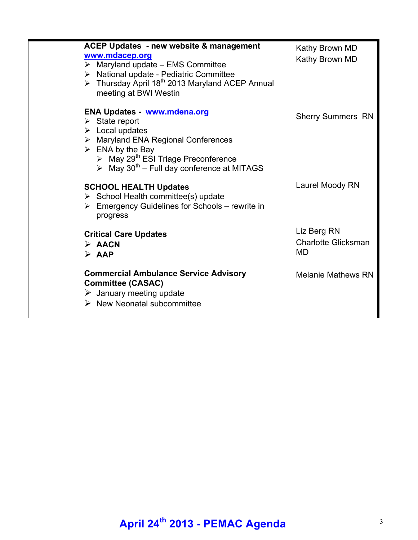| <b>ACEP Updates - new website &amp; management</b><br>www.mdacep.org<br>$\triangleright$ Maryland update - EMS Committee<br>> National update - Pediatric Committee<br>> Thursday April 18 <sup>th</sup> 2013 Maryland ACEP Annual<br>meeting at BWI Westin                                                 | Kathy Brown MD<br>Kathy Brown MD                |
|-------------------------------------------------------------------------------------------------------------------------------------------------------------------------------------------------------------------------------------------------------------------------------------------------------------|-------------------------------------------------|
| <b>ENA Updates - www.mdena.org</b><br>$\triangleright$ State report<br>$\triangleright$ Local updates<br>> Maryland ENA Regional Conferences<br>$\triangleright$ ENA by the Bay<br>> May 29 <sup>th</sup> ESI Triage Preconference<br>$\triangleright$ May 30 <sup>th</sup> – Full day conference at MITAGS | <b>Sherry Summers RN</b>                        |
| <b>SCHOOL HEALTH Updates</b><br>$\triangleright$ School Health committee(s) update<br>$\triangleright$ Emergency Guidelines for Schools – rewrite in<br>progress                                                                                                                                            | Laurel Moody RN                                 |
| <b>Critical Care Updates</b><br>$\triangleright$ AACN<br>$\triangleright$ AAP                                                                                                                                                                                                                               | Liz Berg RN<br><b>Charlotte Glicksman</b><br>MD |
| <b>Commercial Ambulance Service Advisory</b><br><b>Committee (CASAC)</b><br>$\triangleright$ January meeting update<br>$\triangleright$ New Neonatal subcommittee                                                                                                                                           | <b>Melanie Mathews RN</b>                       |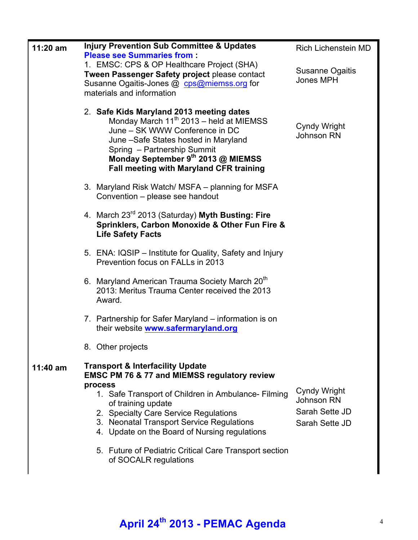| $11:20$ am | <b>Injury Prevention Sub Committee &amp; Updates</b><br><b>Please see Summaries from:</b><br>1. EMSC: CPS & OP Healthcare Project (SHA)                                                                                                                                                   | <b>Rich Lichenstein MD</b>                                            |
|------------|-------------------------------------------------------------------------------------------------------------------------------------------------------------------------------------------------------------------------------------------------------------------------------------------|-----------------------------------------------------------------------|
|            | Tween Passenger Safety project please contact<br>Susanne Ogaitis-Jones @ cps@miemss.org for<br>materials and information                                                                                                                                                                  | Susanne Ogaitis<br><b>Jones MPH</b>                                   |
|            | 2. Safe Kids Maryland 2013 meeting dates<br>Monday March 11 <sup>th</sup> 2013 - held at MIEMSS<br>June - SK WWW Conference in DC<br>June -Safe States hosted in Maryland<br>Spring - Partnership Summit<br>Monday September 9th 2013 @ MIEMSS<br>Fall meeting with Maryland CFR training | <b>Cyndy Wright</b><br><b>Johnson RN</b>                              |
|            | 3. Maryland Risk Watch/ MSFA – planning for MSFA<br>Convention - please see handout                                                                                                                                                                                                       |                                                                       |
|            | 4. March 23rd 2013 (Saturday) Myth Busting: Fire<br>Sprinklers, Carbon Monoxide & Other Fun Fire &<br><b>Life Safety Facts</b>                                                                                                                                                            |                                                                       |
|            | 5. ENA: IQSIP - Institute for Quality, Safety and Injury<br>Prevention focus on FALLs in 2013                                                                                                                                                                                             |                                                                       |
|            | 6. Maryland American Trauma Society March 20 <sup>th</sup><br>2013: Meritus Trauma Center received the 2013<br>Award.                                                                                                                                                                     |                                                                       |
|            | 7. Partnership for Safer Maryland – information is on<br>their website www.safermaryland.org                                                                                                                                                                                              |                                                                       |
|            | 8. Other projects                                                                                                                                                                                                                                                                         |                                                                       |
| $11:40$ am | <b>Transport &amp; Interfacility Update</b><br><b>EMSC PM 76 &amp; 77 and MIEMSS regulatory review</b><br>process                                                                                                                                                                         |                                                                       |
|            | 1. Safe Transport of Children in Ambulance- Filming<br>of training update<br>2. Specialty Care Service Regulations<br>3. Neonatal Transport Service Regulations<br>4. Update on the Board of Nursing regulations                                                                          | Cyndy Wright<br><b>Johnson RN</b><br>Sarah Sette JD<br>Sarah Sette JD |
|            | 5. Future of Pediatric Critical Care Transport section<br>of SOCALR regulations                                                                                                                                                                                                           |                                                                       |